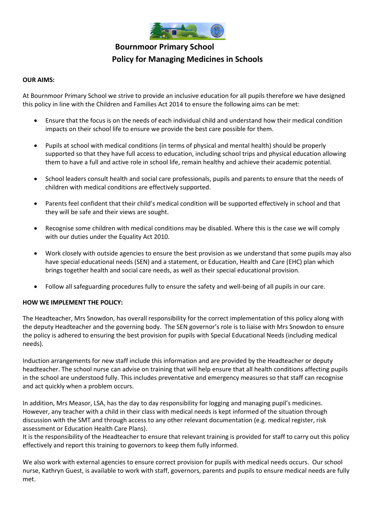

# **Bournmoor Primary School Policy for Managing Medicines in Schools**

#### **OUR AIMS:**

At Bournmoor Primary School we strive to provide an inclusive education for all pupils therefore we have designed this policy in line with the Children and Families Act 2014 to ensure the following aims can be met:

- Ensure that the focus is on the needs of each individual child and understand how their medical condition impacts on their school life to ensure we provide the best care possible for them.
- Pupils at school with medical conditions (in terms of physical and mental health) should be properly supported so that they have full access to education, including school trips and physical education allowing them to have a full and active role in school life, remain healthy and achieve their academic potential.
- School leaders consult health and social care professionals, pupils and parents to ensure that the needs of children with medical conditions are effectively supported.
- Parents feel confident that their child's medical condition will be supported effectively in school and that they will be safe and their views are sought.
- Recognise some children with medical conditions may be disabled. Where this is the case we will comply with our duties under the Equality Act 2010.
- Work closely with outside agencies to ensure the best provision as we understand that some pupils may also have special educational needs (SEN) and a statement, or Education, Health and Care (EHC) plan which brings together health and social care needs, as well as their special educational provision.
- Follow all safeguarding procedures fully to ensure the safety and well-being of all pupils in our care.

#### **HOW WE IMPLEMENT THE POLICY:**

The Headteacher, Mrs Snowdon, has overall responsibility for the correct implementation of this policy along with the deputy Headteacher and the governing body. The SEN governor's role is to liaise with Mrs Snowdon to ensure the policy is adhered to ensuring the best provision for pupils with Special Educational Needs (including medical needs).

Induction arrangements for new staff include this information and are provided by the Headteacher or deputy headteacher. The school nurse can advise on training that will help ensure that all health conditions affecting pupils in the school are understood fully. This includes preventative and emergency measures so that staff can recognise and act quickly when a problem occurs.

In addition, Mrs Measor, LSA, has the day to day responsibility for logging and managing pupil's medicines. However, any teacher with a child in their class with medical needs is kept informed of the situation through discussion with the SMT and through access to any other relevant documentation (e.g. medical register, risk assessment or Education Health Care Plans).

It is the responsibility of the Headteacher to ensure that relevant training is provided for staff to carry out this policy effectively and report this training to governors to keep them fully informed.

We also work with external agencies to ensure correct provision for pupils with medical needs occurs. Our school nurse, Kathryn Guest, is available to work with staff, governors, parents and pupils to ensure medical needs are fully met.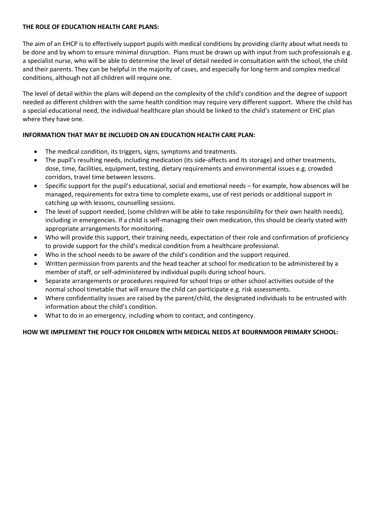## **THE ROLE OF EDUCATION HEALTH CARE PLANS:**

The aim of an EHCP is to effectively support pupils with medical conditions by providing clarity about what needs to be done and by whom to ensure minimal disruption. Plans must be drawn up with input from such professionals e.g. a specialist nurse, who will be able to determine the level of detail needed in consultation with the school, the child and their parents. They can be helpful in the majority of cases, and especially for long-term and complex medical conditions, although not all children will require one.

The level of detail within the plans will depend on the complexity of the child's condition and the degree of support needed as different children with the same health condition may require very different support. Where the child has a special educational need, the individual healthcare plan should be linked to the child's statement or EHC plan where they have one.

# **INFORMATION THAT MAY BE INCLUDED ON AN EDUCATION HEALTH CARE PLAN:**

- The medical condition, its triggers, signs, symptoms and treatments.
- The pupil's resulting needs, including medication (its side-affects and its storage) and other treatments, dose, time, facilities, equipment, testing, dietary requirements and environmental issues e.g. crowded corridors, travel time between lessons.
- Specific support for the pupil's educational, social and emotional needs for example, how absences will be managed, requirements for extra time to complete exams, use of rest periods or additional support in catching up with lessons, counselling sessions.
- The level of support needed, (some children will be able to take responsibility for their own health needs), including in emergencies. If a child is self-managing their own medication, this should be clearly stated with appropriate arrangements for monitoring.
- Who will provide this support, their training needs, expectation of their role and confirmation of proficiency to provide support for the child's medical condition from a healthcare professional.
- Who in the school needs to be aware of the child's condition and the support required.
- Written permission from parents and the head teacher at school for medication to be administered by a member of staff, or self-administered by individual pupils during school hours.
- Separate arrangements or procedures required for school trips or other school activities outside of the normal school timetable that will ensure the child can participate e.g. risk assessments.
- Where confidentiality issues are raised by the parent/child, the designated individuals to be entrusted with information about the child's condition.
- What to do in an emergency, including whom to contact, and contingency.

# **HOW WE IMPLEMENT THE POLICY FOR CHILDREN WITH MEDICAL NEEDS AT BOURNMOOR PRIMARY SCHOOL:**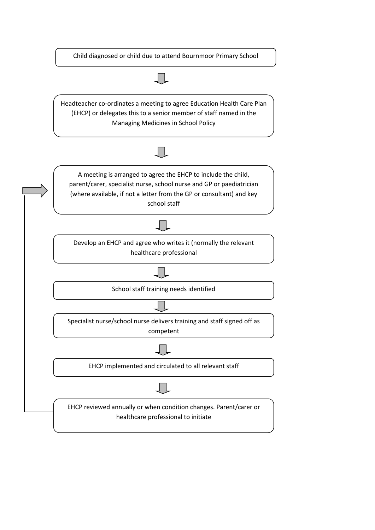Child diagnosed or child due to attend Bournmoor Primary School

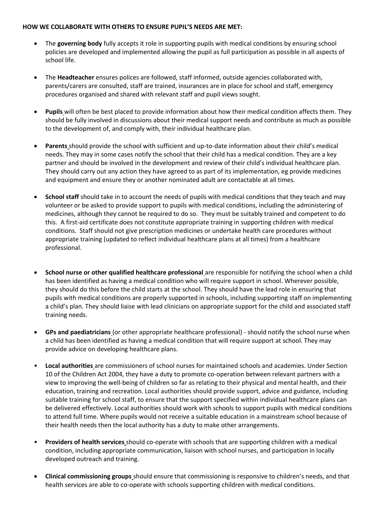#### **HOW WE COLLABORATE WITH OTHERS TO ENSURE PUPIL'S NEEDS ARE MET:**

- The **governing body** fully accepts it role in supporting pupils with medical conditions by ensuring school policies are developed and implemented allowing the pupil as full participation as possible in all aspects of school life.
- The **Headteacher** ensures polices are followed, staff informed, outside agencies collaborated with, parents/carers are consulted, staff are trained, insurances are in place for school and staff, emergency procedures organised and shared with relevant staff and pupil views sought.
- **Pupils** will often be best placed to provide information about how their medical condition affects them. They should be fully involved in discussions about their medical support needs and contribute as much as possible to the development of, and comply with, their individual healthcare plan.
- **Parents** should provide the school with sufficient and up-to-date information about their child's medical needs. They may in some cases notify the school that their child has a medical condition. They are a key partner and should be involved in the development and review of their child's individual healthcare plan. They should carry out any action they have agreed to as part of its implementation, eg provide medicines and equipment and ensure they or another nominated adult are contactable at all times.
- **School staff** should take in to account the needs of pupils with medical conditions that they teach and may volunteer or be asked to provide support to pupils with medical conditions, including the administering of medicines, although they cannot be required to do so. They must be suitably trained and competent to do this. A first-aid certificate does not constitute appropriate training in supporting children with medical conditions. Staff should not give prescription medicines or undertake health care procedures without appropriate training (updated to reflect individual healthcare plans at all times) from a healthcare professional.
- **School nurse or other qualified healthcare professional** are responsible for notifying the school when a child has been identified as having a medical condition who will require support in school. Wherever possible, they should do this before the child starts at the school. They should have the lead role in ensuring that pupils with medical conditions are properly supported in schools, including supporting staff on implementing a child's plan. They should liaise with lead clinicians on appropriate support for the child and associated staff training needs.
- **GPs and paediatricians** (or other appropriate healthcare professional) should notify the school nurse when a child has been identified as having a medical condition that will require support at school. They may provide advice on developing healthcare plans.
- **Local authorities** are commissioners of school nurses for maintained schools and academies. Under Section 10 of the Children Act 2004, they have a duty to promote co-operation between relevant partners with a view to improving the well-being of children so far as relating to their physical and mental health, and their education, training and recreation. Local authorities should provide support, advice and guidance, including suitable training for school staff, to ensure that the support specified within individual healthcare plans can be delivered effectively. Local authorities should work with schools to support pupils with medical conditions to attend full time. Where pupils would not receive a suitable education in a mainstream school because of their health needs then the local authority has a duty to make other arrangements.
- **Providers of health services** should co-operate with schools that are supporting children with a medical condition, including appropriate communication, liaison with school nurses, and participation in locally developed outreach and training.
- **Clinical commissioning groups** should ensure that commissioning is responsive to children's needs, and that health services are able to co-operate with schools supporting children with medical conditions.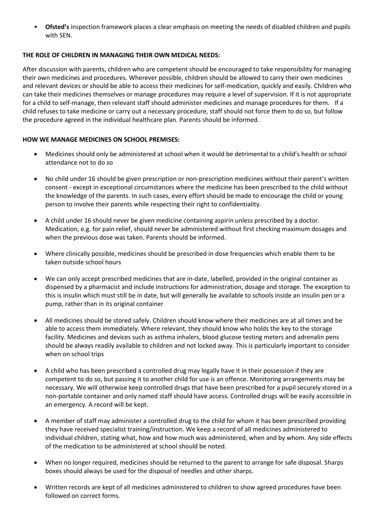• **Ofsted's** inspection framework places a clear emphasis on meeting the needs of disabled children and pupils with SEN.

# **THE ROLE OF CHILDREN IN MANAGING THEIR OWN MEDICAL NEEDS:**

After discussion with parents, children who are competent should be encouraged to take responsibility for managing their own medicines and procedures. Wherever possible, children should be allowed to carry their own medicines and relevant devices or should be able to access their medicines for self-medication, quickly and easily. Children who can take their medicines themselves or manage procedures may require a level of supervision. If it is not appropriate for a child to self-manage, then relevant staff should administer medicines and manage procedures for them. If a child refuses to take medicine or carry out a necessary procedure, staff should not force them to do so, but follow the procedure agreed in the individual healthcare plan. Parents should be informed.

## **HOW WE MANAGE MEDICINES ON SCHOOL PREMISES:**

- Medicines should only be administered at school when it would be detrimental to a child's health or school attendance not to do so
- No child under 16 should be given prescription or non-prescription medicines without their parent's written consent - except in exceptional circumstances where the medicine has been prescribed to the child without the knowledge of the parents. In such cases, every effort should be made to encourage the child or young person to involve their parents while respecting their right to confidentiality.
- A child under 16 should never be given medicine containing aspirin unless prescribed by a doctor. Medication, e.g. for pain relief, should never be administered without first checking maximum dosages and when the previous dose was taken. Parents should be informed.
- Where clinically possible, medicines should be prescribed in dose frequencies which enable them to be taken outside school hours
- We can only accept prescribed medicines that are in-date, labelled, provided in the original container as dispensed by a pharmacist and include instructions for administration, dosage and storage. The exception to this is insulin which must still be in date, but will generally be available to schools inside an insulin pen or a pump, rather than in its original container
- All medicines should be stored safely. Children should know where their medicines are at all times and be able to access them immediately. Where relevant, they should know who holds the key to the storage facility. Medicines and devices such as asthma inhalers, blood glucose testing meters and adrenalin pens should be always readily available to children and not locked away. This is particularly important to consider when on school trips
- A child who has been prescribed a controlled drug may legally have it in their possession if they are competent to do so, but passing it to another child for use is an offence. Monitoring arrangements may be necessary. We will otherwise keep controlled drugs that have been prescribed for a pupil securely stored in a non-portable container and only named staff should have access. Controlled drugs will be easily accessible in an emergency. A record will be kept.
- A member of staff may administer a controlled drug to the child for whom it has been prescribed providing they have received specialist training/instruction. We keep a record of all medicines administered to individual children, stating what, how and how much was administered, when and by whom. Any side effects of the medication to be administered at school should be noted.
- When no longer required, medicines should be returned to the parent to arrange for safe disposal. Sharps boxes should always be used for the disposal of needles and other sharps.
- Written records are kept of all medicines administered to children to show agreed procedures have been followed on correct forms.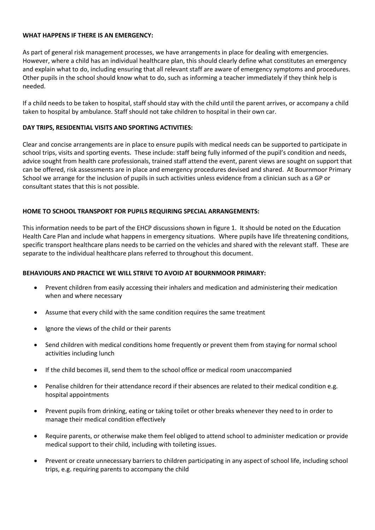#### **WHAT HAPPENS IF THERE IS AN EMERGENCY:**

As part of general risk management processes, we have arrangements in place for dealing with emergencies. However, where a child has an individual healthcare plan, this should clearly define what constitutes an emergency and explain what to do, including ensuring that all relevant staff are aware of emergency symptoms and procedures. Other pupils in the school should know what to do, such as informing a teacher immediately if they think help is needed.

If a child needs to be taken to hospital, staff should stay with the child until the parent arrives, or accompany a child taken to hospital by ambulance. Staff should not take children to hospital in their own car.

# **DAY TRIPS, RESIDENTIAL VISITS AND SPORTING ACTIVITIES:**

Clear and concise arrangements are in place to ensure pupils with medical needs can be supported to participate in school trips, visits and sporting events. These include: staff being fully informed of the pupil's condition and needs, advice sought from health care professionals, trained staff attend the event, parent views are sought on support that can be offered, risk assessments are in place and emergency procedures devised and shared. At Bournmoor Primary School we arrange for the inclusion of pupils in such activities unless evidence from a clinician such as a GP or consultant states that this is not possible.

## **HOME TO SCHOOL TRANSPORT FOR PUPILS REQUIRING SPECIAL ARRANGEMENTS:**

This information needs to be part of the EHCP discussions shown in figure 1. It should be noted on the Education Health Care Plan and include what happens in emergency situations. Where pupils have life threatening conditions, specific transport healthcare plans needs to be carried on the vehicles and shared with the relevant staff. These are separate to the individual healthcare plans referred to throughout this document.

# **BEHAVIOURS AND PRACTICE WE WILL STRIVE TO AVOID AT BOURNMOOR PRIMARY:**

- Prevent children from easily accessing their inhalers and medication and administering their medication when and where necessary
- Assume that every child with the same condition requires the same treatment
- Ignore the views of the child or their parents
- Send children with medical conditions home frequently or prevent them from staying for normal school activities including lunch
- If the child becomes ill, send them to the school office or medical room unaccompanied
- Penalise children for their attendance record if their absences are related to their medical condition e.g. hospital appointments
- Prevent pupils from drinking, eating or taking toilet or other breaks whenever they need to in order to manage their medical condition effectively
- Require parents, or otherwise make them feel obliged to attend school to administer medication or provide medical support to their child, including with toileting issues.
- Prevent or create unnecessary barriers to children participating in any aspect of school life, including school trips, e.g. requiring parents to accompany the child